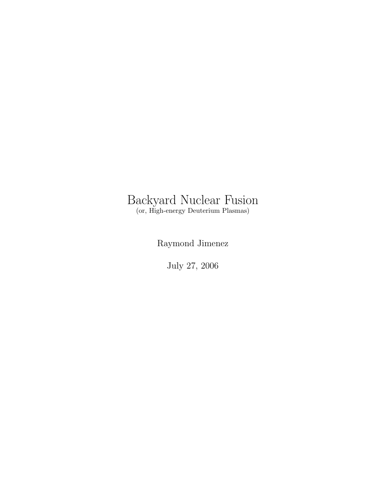#### Backyard Nuclear Fusion (or, High-energy Deuterium Plasmas)

Raymond Jimenez

July 27, 2006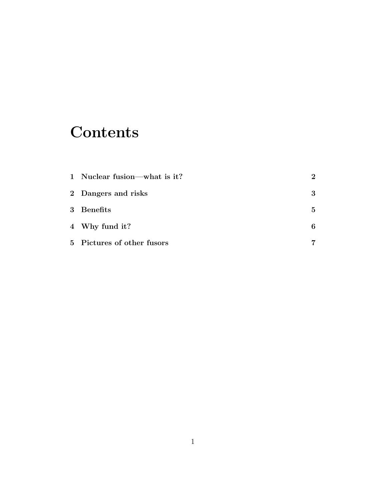# **Contents**

| 1 Nuclear fusion—what is it? | $\overline{2}$ |
|------------------------------|----------------|
| 2 Dangers and risks          | 3              |
| 3 Benefits                   | 5              |
| 4 Why fund it?               | 6              |
| 5 Pictures of other fusors   |                |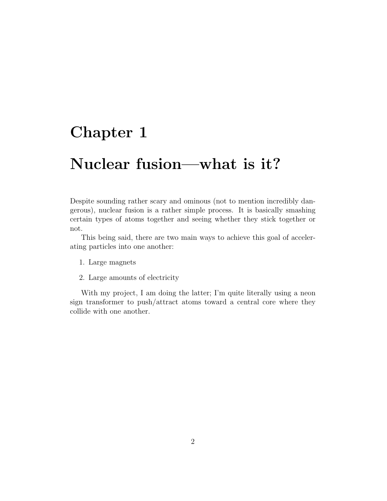# Nuclear fusion—what is it?

Despite sounding rather scary and ominous (not to mention incredibly dangerous), nuclear fusion is a rather simple process. It is basically smashing certain types of atoms together and seeing whether they stick together or not.

This being said, there are two main ways to achieve this goal of accelerating particles into one another:

- 1. Large magnets
- 2. Large amounts of electricity

With my project, I am doing the latter; I'm quite literally using a neon sign transformer to push/attract atoms toward a central core where they collide with one another.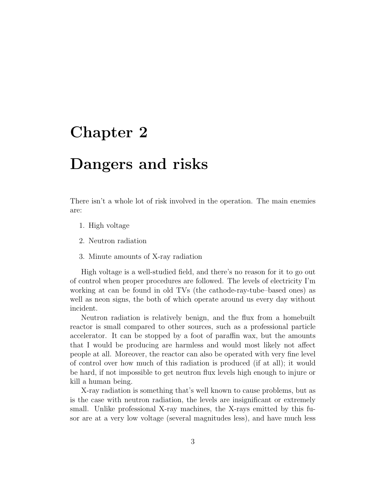### Dangers and risks

There isn't a whole lot of risk involved in the operation. The main enemies are:

- 1. High voltage
- 2. Neutron radiation
- 3. Minute amounts of X-ray radiation

High voltage is a well-studied field, and there's no reason for it to go out of control when proper procedures are followed. The levels of electricity I'm working at can be found in old TVs (the cathode-ray-tube–based ones) as well as neon signs, the both of which operate around us every day without incident.

Neutron radiation is relatively benign, and the flux from a homebuilt reactor is small compared to other sources, such as a professional particle accelerator. It can be stopped by a foot of paraffin wax, but the amounts that I would be producing are harmless and would most likely not affect people at all. Moreover, the reactor can also be operated with very fine level of control over how much of this radiation is produced (if at all); it would be hard, if not impossible to get neutron flux levels high enough to injure or kill a human being.

X-ray radiation is something that's well known to cause problems, but as is the case with neutron radiation, the levels are insignificant or extremely small. Unlike professional X-ray machines, the X-rays emitted by this fusor are at a very low voltage (several magnitudes less), and have much less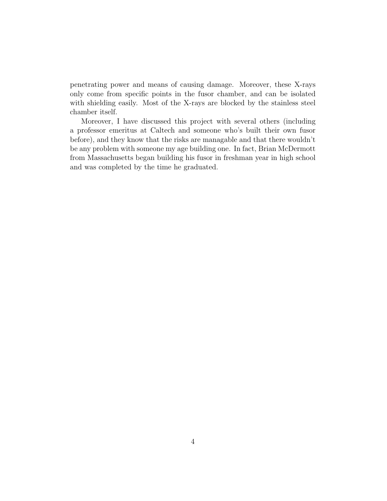penetrating power and means of causing damage. Moreover, these X-rays only come from specific points in the fusor chamber, and can be isolated with shielding easily. Most of the X-rays are blocked by the stainless steel chamber itself.

Moreover, I have discussed this project with several others (including a professor emeritus at Caltech and someone who's built their own fusor before), and they know that the risks are managable and that there wouldn't be any problem with someone my age building one. In fact, Brian McDermott from Massachusetts began building his fusor in freshman year in high school and was completed by the time he graduated.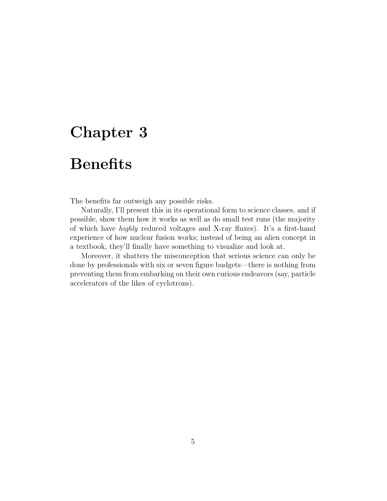# **Benefits**

The benefits far outweigh any possible risks.

Naturally, I'll present this in its operational form to science classes, and if possible, show them how it works as well as do small test runs (the majority of which have highly reduced voltages and X-ray fluxes). It's a first-hand experience of how nuclear fusion works; instead of being an alien concept in a textbook, they'll finally have something to visualize and look at.

Moreover, it shatters the misconception that serious science can only be done by professionals with six or seven figure budgets—there is nothing from preventing them from embarking on their own curious endeavors (say, particle accelerators of the likes of cyclotrons).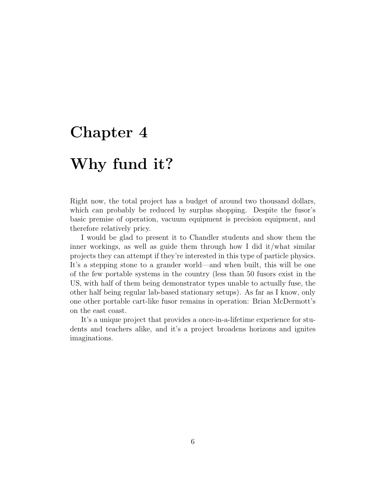# Why fund it?

Right now, the total project has a budget of around two thousand dollars, which can probably be reduced by surplus shopping. Despite the fusor's basic premise of operation, vacuum equipment is precision equipment, and therefore relatively pricy.

I would be glad to present it to Chandler students and show them the inner workings, as well as guide them through how I did it/what similar projects they can attempt if they're interested in this type of particle physics. It's a stepping stone to a grander world—and when built, this will be one of the few portable systems in the country (less than 50 fusors exist in the US, with half of them being demonstrator types unable to actually fuse, the other half being regular lab-based stationary setups). As far as I know, only one other portable cart-like fusor remains in operation: Brian McDermott's on the east coast.

It's a unique project that provides a once-in-a-lifetime experience for students and teachers alike, and it's a project broadens horizons and ignites imaginations.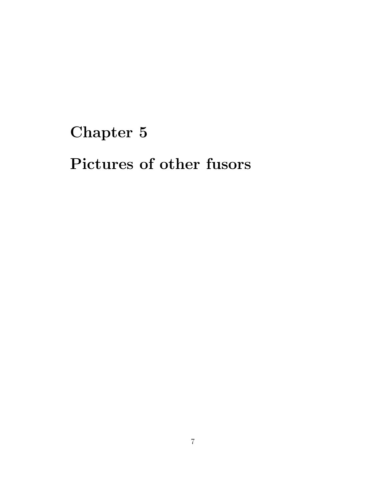Pictures of other fusors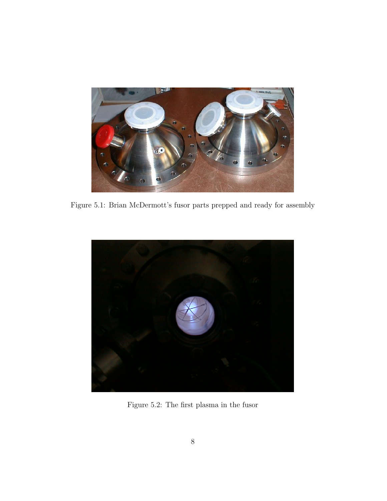

Figure 5.1: Brian McDermott's fusor parts prepped and ready for assembly



Figure 5.2: The first plasma in the fusor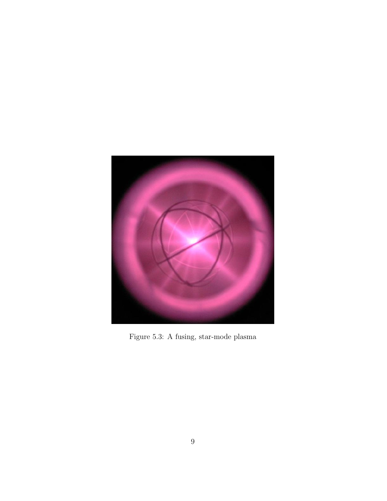

Figure 5.3: A fusing, star-mode plasma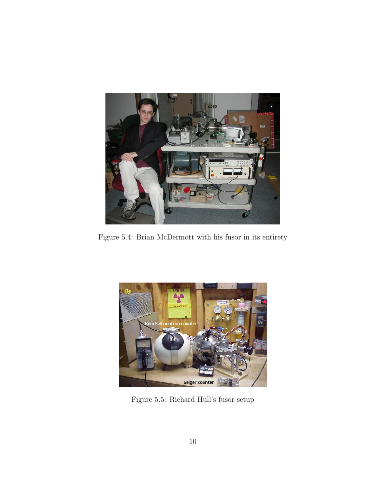

Figure 5.4: Brian McDermott with his fusor in its entirety



Figure 5.5: Richard Hull's fusor setup